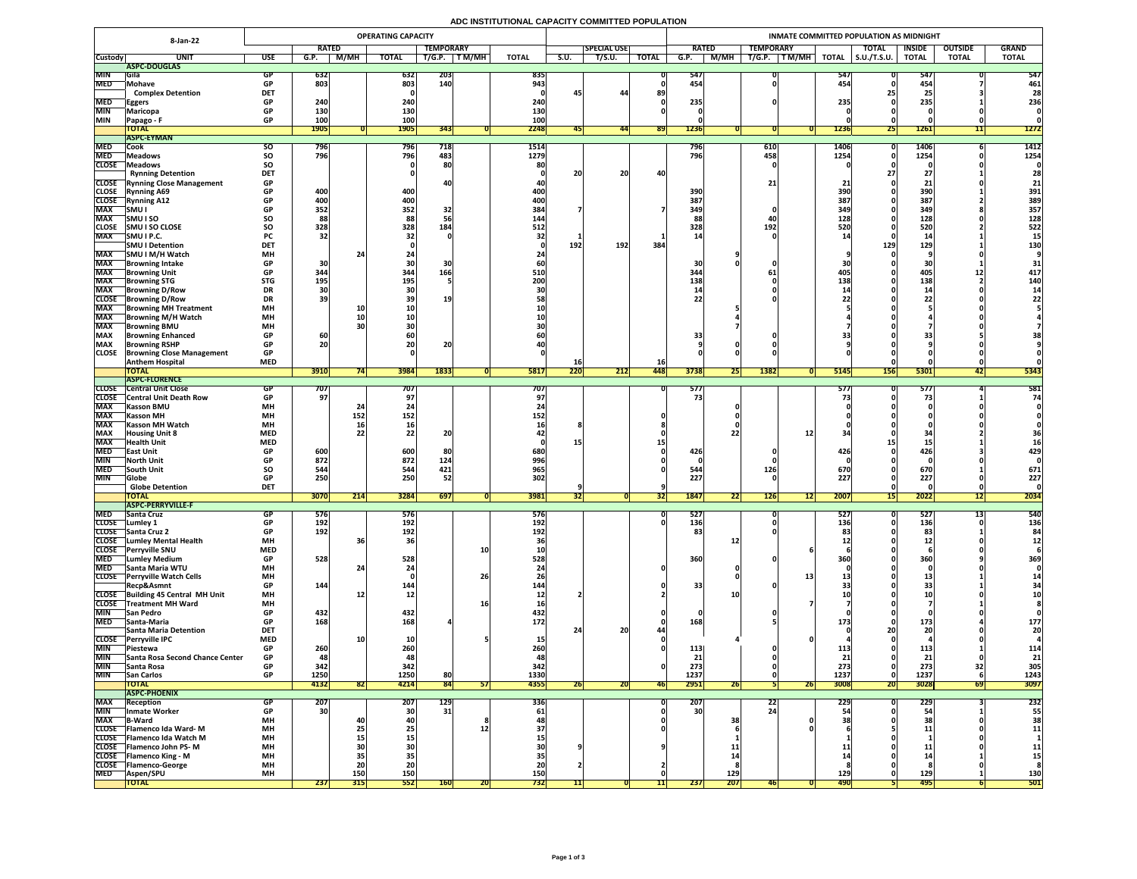## **ADC INSTITUTIONAL CAPACITY COMMITTED POPULATION**

| <b>8-Jan-22</b>            |                                                            | <b>OPERATING CAPACITY</b> |                          |                                                               |                   |                   |           |                          |      | INMATE COMMITTED POPULATION AS MIDNIGHT |              |                                |                   |                  |                                                        |                     |                     |                  |                |              |  |
|----------------------------|------------------------------------------------------------|---------------------------|--------------------------|---------------------------------------------------------------|-------------------|-------------------|-----------|--------------------------|------|-----------------------------------------|--------------|--------------------------------|-------------------|------------------|--------------------------------------------------------|---------------------|---------------------|------------------|----------------|--------------|--|
|                            |                                                            |                           | <b>RATED</b>             |                                                               |                   | <b>TEMPORARY</b>  |           |                          |      | <b>SPECIAL USE</b>                      |              | <b>RATED</b>                   |                   | <b>TEMPORARY</b> |                                                        |                     | <b>TOTAL</b>        | <b>INSIDE</b>    | <b>OUTSIDE</b> | <b>GRAND</b> |  |
| <b>Custody</b>             | <b>UNIT</b>                                                | <b>USE</b>                | G.P.                     | M/MH                                                          | <b>TOTAL</b>      | T/G.P.            | T M/MH    | <b>TOTAL</b>             | S.U. | T/S.U.                                  | <b>TOTAL</b> | G.P.                           | <b>M/MH</b>       | T/G.P.           | $\overline{\mathsf{T}\mathsf{M}/\mathsf{M}\mathsf{H}}$ | <b>TOTAL</b>        | $\vert$ S.U./T.S.U. | <b>TOTAL</b>     | <b>TOTAL</b>   | <b>TOTAL</b> |  |
|                            | ASPC-DOUGLAS                                               |                           |                          |                                                               |                   |                   |           |                          |      |                                         |              |                                |                   |                  |                                                        |                     |                     |                  |                |              |  |
| <b>MIN</b><br><b>MED</b>   | <b>Sila</b><br>Mohave                                      | GP<br><b>GP</b>           | <b>632</b><br>803        |                                                               | 632<br>803        | <b>203</b><br>140 |           | 835<br>943               |      |                                         |              | 547<br>454                     |                   |                  |                                                        | 547<br>454          |                     | 547<br>454       |                | 547<br>461   |  |
|                            | <b>Complex Detention</b>                                   | <b>DET</b>                |                          |                                                               |                   |                   |           |                          | 45   | 44                                      | 89           |                                |                   |                  |                                                        |                     |                     | 2!               |                | 28           |  |
| <b>MED</b>                 | <b>Eggers</b>                                              | <b>GP</b>                 | 240                      |                                                               | 240               |                   |           | 240                      |      |                                         |              | 235                            |                   |                  |                                                        | 235                 |                     | 235              |                | 236          |  |
| <b>MIN</b>                 | <b>Maricopa</b>                                            | <b>GP</b>                 | <b>130</b>               |                                                               | 130               |                   |           | 130                      |      |                                         |              |                                |                   |                  |                                                        |                     |                     |                  |                |              |  |
| <b>MIN</b>                 | <b>Papago - F</b>                                          | <b>GP</b>                 | 100                      |                                                               | 100               |                   |           | 100                      |      |                                         |              |                                |                   |                  |                                                        |                     |                     |                  |                |              |  |
|                            | <b>TOTAL</b>                                               |                           | <b>1905</b>              |                                                               | <b>1905</b>       | 343               |           | 2248                     |      | 441                                     | <b>891</b>   | 1236                           |                   |                  |                                                        | <b>1236</b>         | <b>Z51</b>          | <b>1261</b>      | 11             | <b>1272</b>  |  |
|                            | <b>ASPC-EYMAN</b>                                          |                           |                          |                                                               |                   |                   |           |                          |      |                                         |              |                                |                   |                  |                                                        |                     |                     |                  |                |              |  |
| <b>MED</b><br><b>MED</b>   | Cook                                                       | <b>SU</b>                 | 796<br>796               |                                                               | <b>796</b><br>796 | 718<br>483        |           | 1514<br>1279             |      |                                         |              | 796<br>796                     |                   | 610<br>458       |                                                        | <b>1406</b><br>1254 |                     | 1406<br>1254     |                | 1412<br>1254 |  |
| <b>CLOSE</b>               | <b>Meadows</b><br><b>Neadows</b>                           | <b>SO</b><br><b>SO</b>    |                          |                                                               |                   | 80                |           | 80                       |      |                                         |              |                                |                   |                  |                                                        |                     |                     |                  |                |              |  |
|                            | <b>Rynning Detention</b>                                   | <b>DET</b>                |                          |                                                               |                   |                   |           |                          | 20   | 20                                      | 40           |                                |                   |                  |                                                        |                     |                     | $\mathbf{Z}$     |                | 28           |  |
|                            | <b>CLOSE</b> Rynning Close Management                      | <b>GP</b>                 |                          |                                                               |                   |                   |           |                          |      |                                         |              |                                |                   | 21 <sub>1</sub>  |                                                        |                     |                     |                  |                | 21           |  |
| <b>CLOSE</b>               | <b>Rynning A69</b>                                         | <b>GP</b>                 | 400                      |                                                               | 400               |                   |           | 400                      |      |                                         |              | 390                            |                   |                  |                                                        | 390                 |                     | 390              |                | 391          |  |
| <b>CLOSE</b>               | <b>Rynning A12</b>                                         | <b>GP</b>                 | 400                      |                                                               | 400               |                   |           | 400                      |      |                                         |              | 387                            |                   |                  |                                                        | 387                 |                     | 387              |                | 389          |  |
| <b>MAX</b>                 | SMU I                                                      | <b>GP</b>                 | 352                      |                                                               | 352               | 32                |           | 384                      |      |                                         |              | 349                            |                   |                  |                                                        | 349                 |                     | 349              |                | 357          |  |
| <b>MAX</b>                 | <b>SMUISO</b>                                              | <b>SO</b>                 | 88                       |                                                               | 88                |                   |           | 144                      |      |                                         |              |                                |                   | 40               |                                                        | 128                 |                     | 128              |                | 128          |  |
| <b>CLOSE</b>               | <b>SMU I SO CLOSE</b>                                      | <b>SO</b>                 | 328                      |                                                               | 328               | 184               |           | 512                      |      |                                         |              | 328                            |                   | 192              |                                                        | <b>520</b>          |                     | 520              |                | 522          |  |
| <b>MAX</b>                 | SMU I P.C.<br><b>SMU I Detention</b>                       | <b>PC</b><br><b>DET</b>   | 32                       |                                                               |                   |                   |           |                          | 192  | 192                                     | 384          |                                |                   |                  |                                                        |                     | 129                 | 129              |                | <b>130</b>   |  |
| <b>MAX</b>                 | SMU I M/H Watch                                            | <b>MH</b>                 |                          |                                                               |                   |                   |           |                          |      |                                         |              |                                |                   |                  |                                                        |                     |                     |                  |                |              |  |
| <b>MAX</b>                 | Browning Intake                                            | <b>GP</b>                 | 30                       |                                                               |                   |                   |           |                          |      |                                         |              | 30                             |                   |                  |                                                        |                     |                     |                  |                |              |  |
| <b>MAX</b>                 | <b>Browning Unit</b>                                       | <b>GP</b>                 | 344                      |                                                               | 344               | 166               |           | <b>510</b>               |      |                                         |              | 344                            |                   |                  |                                                        |                     |                     | 405              | ┻┻             | 417          |  |
| <b>MAX</b>                 | <b>Browning STG</b>                                        | <b>STG</b>                | 195                      |                                                               | 195               |                   |           | 200                      |      |                                         |              | <b>138</b>                     |                   |                  |                                                        | 138                 |                     | 138              |                | 140          |  |
| <b>MAX</b>                 | <b>Browning D/Row</b>                                      | <b>DR</b>                 |                          |                                                               |                   |                   |           |                          |      |                                         |              |                                |                   |                  |                                                        |                     |                     |                  |                |              |  |
| <b>CLOSE</b>               | <b>Browning D/Row</b>                                      | <b>DR</b>                 | 39                       |                                                               |                   | 19                |           |                          |      |                                         |              | つつ                             |                   |                  |                                                        |                     |                     |                  |                |              |  |
| <b>MAX</b><br><b>MAX</b>   | <b>Browning MH Treatment</b><br><b>TBrowning M/H Watch</b> | <b>MH</b><br><b>MH</b>    |                          | 10                                                            |                   |                   |           |                          |      |                                         |              |                                |                   |                  |                                                        |                     |                     |                  |                |              |  |
| <b>MAX</b>                 | <b>Browning BMU</b>                                        | <b>MH</b>                 |                          |                                                               |                   |                   |           |                          |      |                                         |              |                                |                   |                  |                                                        |                     |                     |                  |                |              |  |
| <b>MAX</b>                 | <b>Browning Enhanced</b>                                   | <b>GP</b>                 | 60                       |                                                               |                   |                   |           |                          |      |                                         |              | 33                             |                   |                  |                                                        |                     |                     |                  |                |              |  |
| <b>MAX</b>                 | <b>Browning RSHP</b>                                       | <b>GP</b>                 | 20                       |                                                               | ZU                | 20                |           |                          |      |                                         |              |                                |                   |                  |                                                        |                     |                     |                  |                |              |  |
| <b>CLOSE</b>               | <b>Browning Close Management</b>                           | <b>GP</b>                 |                          |                                                               |                   |                   |           |                          |      |                                         |              |                                |                   |                  |                                                        |                     |                     |                  |                |              |  |
|                            | <b>Anthem Hospital</b>                                     | <b>MED</b>                |                          |                                                               |                   |                   |           |                          | TO   |                                         | <b>16</b>    |                                |                   |                  |                                                        |                     |                     |                  |                |              |  |
|                            | <b>TOTAL</b>                                               |                           | 3910                     |                                                               | 3984              | 1833              |           | <b>5817</b>              | 220  | 212                                     | 448          | 3738                           | <b>Z51</b>        | 1382             |                                                        | 5145                | <b>156</b>          | 5301             |                | 5343         |  |
| <b>CLOSE</b>               | <b>ASPC-FLORENCE</b><br><b>Central Unit Close</b>          |                           |                          |                                                               | 707               |                   |           | 707                      |      |                                         |              | 577                            |                   |                  |                                                        | <b>577</b>          |                     | 577              |                | 581          |  |
|                            | <b>CLOSE</b> Central Unit Death Row                        | <b>GP</b>                 | 707  <br>97 <sub>1</sub> |                                                               |                   |                   |           |                          |      |                                         |              |                                |                   |                  |                                                        |                     |                     |                  |                | 74           |  |
| <b>MAX</b>                 | <b>Kasson BMU</b>                                          | <b>MH</b>                 |                          |                                                               |                   |                   |           |                          |      |                                         |              |                                |                   |                  |                                                        |                     |                     |                  |                |              |  |
| <b>MAX</b>                 | <b>Kasson MH</b>                                           | <b>MH</b>                 |                          | 152                                                           | 152               |                   |           | 1521                     |      |                                         |              |                                |                   |                  |                                                        |                     |                     |                  |                |              |  |
| <b>MAX</b>                 | <b>Kasson MH Watch</b>                                     | <b>MH</b>                 |                          |                                                               |                   |                   |           |                          |      |                                         |              |                                |                   |                  |                                                        |                     |                     |                  |                |              |  |
| <b>MAX</b>                 | <b>Housing Unit 8</b>                                      | <b>MED</b>                |                          |                                                               |                   | 91                |           |                          |      |                                         |              |                                |                   |                  |                                                        |                     |                     |                  |                | 50.          |  |
| <b>MAX</b>                 | <b>Health Unit</b>                                         | <b>MED</b>                |                          |                                                               |                   |                   |           |                          |      |                                         |              |                                |                   |                  |                                                        |                     |                     |                  |                |              |  |
| <b>MED</b><br><b>MIN</b>   | <b>TEast Unit</b><br><b>North Unit</b>                     | <b>GP</b><br><b>GP</b>    | 600<br>872               |                                                               | 600<br>872        | 124               |           | 680<br>996               |      |                                         |              | 426                            |                   |                  |                                                        | 426                 |                     | 426              |                | 429          |  |
| <b>MED</b>                 | <b>South Unit</b>                                          | <b>SO</b>                 | 544                      |                                                               | 544               | 421               |           | 965                      |      |                                         |              | 544                            |                   | 126              |                                                        | 670                 |                     | 670              |                | 671          |  |
| <b>MIN</b>                 | <b>Globe</b>                                               | <b>GP</b>                 | 250                      |                                                               | 250               | 52                |           | 302                      |      |                                         |              | 227                            |                   |                  |                                                        | 227                 |                     | 227              |                | 227          |  |
|                            | <b>Globe Detention</b>                                     | <b>DET</b>                |                          |                                                               |                   |                   |           |                          |      |                                         |              |                                |                   |                  |                                                        |                     |                     |                  |                |              |  |
|                            | <b>TOTAL</b>                                               |                           | <b>3070</b>              | $\begin{array}{c} \n \boldsymbol{341} \n \end{array}$<br> Z14 | <b>3284</b>       | 697               |           | 3981                     | 32   |                                         | [32]         | <b>1847</b>                    | <b>331</b><br> 22 | <b>126</b>       | 12                                                     | 2007                | 15                  | 2022             | 12             | 2034         |  |
|                            | <b>ASPC-PERRYVILLE-F</b>                                   |                           |                          |                                                               |                   |                   |           |                          |      |                                         |              |                                |                   |                  |                                                        |                     |                     |                  |                |              |  |
| <b>MED</b><br><b>CLOSE</b> | <b>Santa Cruz</b><br>Lumley 1                              | <b>GP</b><br><b>GP</b>    | 576<br>192               |                                                               | 576<br>192        |                   |           | <b>576</b><br><b>192</b> |      |                                         |              | $\overline{527}$<br><b>136</b> |                   |                  |                                                        | 527<br>136          |                     | 527<br>136       |                | 540<br>136   |  |
|                            | CLOSE Santa Cruz 2                                         | <b>GP</b>                 | 192                      |                                                               | 192               |                   |           | 192                      |      |                                         |              | 83                             |                   |                  |                                                        |                     |                     | 83               |                |              |  |
|                            | <b>CLOSE</b> Lumley Mental Health                          | <b>MH</b>                 |                          |                                                               |                   |                   |           |                          |      |                                         |              |                                |                   |                  |                                                        |                     |                     |                  |                |              |  |
| <b>CLOSE</b>               | <b>Perryville SNU</b>                                      | <b>MED</b>                |                          |                                                               |                   |                   | <b>10</b> |                          |      |                                         |              |                                |                   |                  |                                                        |                     |                     |                  |                |              |  |
| <b>MED</b>                 | <b>Lumley Medium</b>                                       | <b>GP</b>                 | 528                      |                                                               | 528               |                   |           | 528                      |      |                                         |              | 360                            |                   |                  |                                                        |                     |                     | 360              |                | 369          |  |
| <b>MED</b>                 | Santa Maria WTU                                            | <b>MH</b>                 |                          |                                                               |                   |                   |           |                          |      |                                         |              |                                |                   |                  |                                                        |                     |                     |                  |                |              |  |
| <b>CLOSE</b>               | <b>Perryville Watch Cells</b>                              | <b>MH</b><br><b>GP</b>    | 144                      |                                                               |                   |                   | 26        |                          |      |                                         |              | 33                             |                   |                  |                                                        |                     |                     |                  |                |              |  |
|                            | Recp&Asmnt<br>CLOSE Building 45 Central MH Unit            | <b>MH</b>                 |                          |                                                               | 144'<br>TV.       |                   |           | 144                      |      |                                         |              |                                |                   |                  |                                                        |                     |                     |                  |                |              |  |
|                            | <b>CLOSE</b> Treatment MH Ward                             | <b>MH</b>                 |                          |                                                               |                   |                   |           | <b>16</b>                |      |                                         |              |                                |                   |                  |                                                        |                     |                     |                  |                |              |  |
| <b>MIN</b>                 | <b>San Pedro</b>                                           | <b>GP</b>                 | 432                      |                                                               | 432               |                   |           | 432                      |      |                                         |              |                                |                   |                  |                                                        |                     |                     |                  |                |              |  |
| <b>MED</b>                 | Santa-Maria                                                | <b>GP</b>                 | 168                      |                                                               | 168               |                   |           | <b>172</b>               |      |                                         |              | 168                            |                   |                  |                                                        |                     |                     | 173              |                | 177          |  |
|                            | <b>Santa Maria Detention</b>                               | <b>DET</b>                |                          |                                                               |                   |                   |           |                          |      | ാറ<br>ZU                                |              |                                |                   |                  |                                                        |                     |                     | 91               |                | 20           |  |
|                            | CLOSE Perryville IPC                                       | <b>MED</b>                |                          |                                                               |                   |                   |           |                          |      |                                         |              |                                |                   |                  |                                                        |                     |                     |                  |                |              |  |
| <b>MIN</b><br><b>MIN</b>   | <b>Piestewa</b><br><b>Santa Rosa Second Chance Center</b>  | <b>GP</b><br><b>GP</b>    | 260<br>48                |                                                               | 260<br>48         |                   |           |                          |      |                                         |              | 113<br>21                      |                   |                  |                                                        | --<br>91            |                     | <b>113</b><br>21 |                | 114<br>21    |  |
| <b>MIN</b>                 | Santa Rosa                                                 | <b>GP</b>                 | 342                      |                                                               | 342               |                   |           | 342                      |      |                                         |              | 273                            |                   |                  |                                                        | 273                 |                     | 273              |                | 305          |  |
| <b>MIN</b>                 | <b>San Carlos</b>                                          | <b>GP</b>                 | 1250                     |                                                               | 1250              | 80                |           | 1330                     |      |                                         |              | 1237                           |                   |                  |                                                        | 1237                |                     | 1237             |                | 1243         |  |
|                            | <b>TOTAL</b>                                               |                           | 4132                     | 82                                                            | 4214              | 84                | 51        | 4355                     | 26   | ZUI                                     | <b>46</b>    | 2951                           | 26                |                  | 26                                                     | 3008                | <b>20 </b>          | 3028             | 69             | 3097         |  |
|                            | <b>ASPC-PHOENIX</b>                                        |                           |                          |                                                               |                   |                   |           |                          |      |                                         |              |                                |                   |                  |                                                        |                     |                     |                  |                |              |  |
| <b>MAX</b>                 | <b>Reception</b>                                           | <b>GP</b>                 | 207                      |                                                               | 207               | <b>129</b>        |           | <b>336</b>               |      |                                         |              | 207                            |                   | <b>22</b>        |                                                        | 229                 |                     | 229              |                | 232          |  |
| <b>MIN</b><br><b>MAX</b>   | Inmate Worker                                              | <b>GP</b><br><b>MH</b>    | 30                       |                                                               | 30 <sup>1</sup>   | 31                |           | 61                       |      |                                         |              | 30 <sup>1</sup>                | 38                | 24 <sub>1</sub>  |                                                        |                     |                     |                  |                | 55           |  |
|                            | <b>B-Ward</b><br>CLOSE   Flamenco Ida Ward-M               | <b>MH</b>                 |                          |                                                               |                   |                   |           |                          |      |                                         |              |                                |                   |                  |                                                        |                     |                     |                  |                | 38<br>11     |  |
|                            | CLOSE   Flamenco Ida Watch M                               | <b>MH</b>                 |                          |                                                               |                   |                   |           |                          |      |                                         |              |                                |                   |                  |                                                        |                     |                     |                  |                |              |  |
|                            | <b>CLOSE</b> Flamenco John PS-M                            | <b>MH</b>                 |                          |                                                               |                   |                   |           |                          |      |                                         |              |                                |                   |                  |                                                        |                     |                     |                  |                | <b>11</b>    |  |
|                            | <b>CLOSE</b> Flamenco King - M                             | <b>MH</b>                 |                          |                                                               |                   |                   |           |                          |      |                                         |              |                                |                   |                  |                                                        |                     |                     |                  |                | L5.          |  |
|                            | CLOSE   Flamenco-George                                    | <b>MH</b>                 |                          | ZU                                                            | ZU                |                   |           |                          |      |                                         |              |                                |                   |                  |                                                        |                     |                     |                  |                |              |  |
| <b>MED</b>                 | <b>Aspen/SPU</b>                                           | <b>MH</b>                 |                          | <b>150</b>                                                    | 150               |                   |           | 150                      |      |                                         |              |                                | 129               |                  |                                                        | ᆂᄯᆨ                 |                     | 129              |                | 130          |  |
|                            | <b>TOTAL</b>                                               |                           | 237                      | 315                                                           | 552               | <b>160</b>        | <b>ZU</b> | 732                      |      |                                         |              | 237                            | 207               |                  |                                                        | <b>490</b>          |                     | <b>495</b>       |                | 501          |  |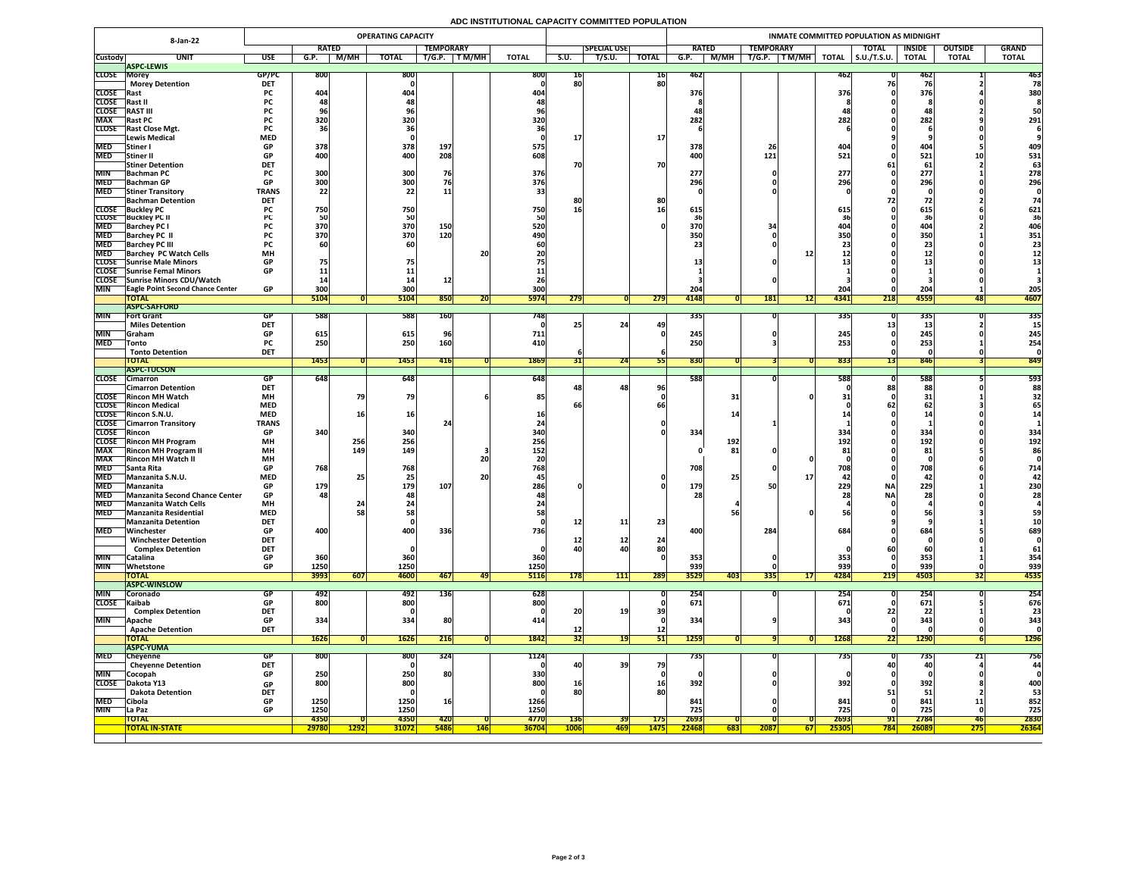## **ADC INSTITUTIONAL CAPACITY COMMITTED POPULATION**

|                          | <b>OPERATING CAPACITY</b><br><b>8-Jan-22</b>                |                           |                    |             |                         |                  |            |              |             |                    |                 | INMATE COMMITTED POPULATION AS MIDNIGHT |                  |                 |              |                     |               |                  |              |  |  |  |
|--------------------------|-------------------------------------------------------------|---------------------------|--------------------|-------------|-------------------------|------------------|------------|--------------|-------------|--------------------|-----------------|-----------------------------------------|------------------|-----------------|--------------|---------------------|---------------|------------------|--------------|--|--|--|
|                          |                                                             |                           | <b>RATED</b>       |             |                         | <b>TEMPORARY</b> |            |              |             | <b>SPECIAL USE</b> |                 | <b>RATED</b>                            | <b>TEMPORARY</b> |                 |              | <b>TOTAL</b>        | <b>INSIDE</b> | <b>OUTSIDE</b>   | <b>GRAND</b> |  |  |  |
| <b>Custody</b>           | <b>UNIT</b>                                                 | <b>USE</b>                | G.P.               | M/MH        | <b>TOTAL</b>            | T/G.P.           | T M/MH     | <b>TOTAL</b> | S.U.        | T/S.U.             | <b>TOTAL</b>    | M/MH<br>G.P.                            | T/G.P.           | $T$ M/MH        | <b>TOTAL</b> | $\vert$ S.U./T.S.U. | <b>TOTAL</b>  | <b>TOTAL</b>     | <b>TOTAL</b> |  |  |  |
| <b>CLOSE Morey</b>       | <b>ASPC-LEWIS</b>                                           | GP/PC                     | <b>800</b>         |             | 800                     |                  |            | 800          | 16          |                    | 16              | 462                                     |                  |                 | 46Z          |                     | 46Z           |                  | 463          |  |  |  |
|                          | <b>Morey Detention</b>                                      | <b>DET</b>                |                    |             |                         |                  |            |              | 80          |                    | 80              |                                         |                  |                 |              |                     |               |                  | 78           |  |  |  |
| CLOSE Rast               |                                                             | <b>PC</b>                 | 404                |             | 404                     |                  |            | 404          |             |                    |                 | 376                                     |                  |                 | 376          |                     | 376           |                  | 380          |  |  |  |
| CLOSE Rast II            |                                                             | <b>PC</b>                 |                    |             |                         |                  |            |              |             |                    |                 |                                         |                  |                 |              |                     |               |                  |              |  |  |  |
| <b>CLOSE</b>             | <b>RAST III</b>                                             | <b>PC</b>                 |                    |             |                         |                  |            |              |             |                    |                 |                                         |                  |                 |              |                     |               |                  | 50           |  |  |  |
| <b>MAX</b>               | <b>Rast PC</b><br><b>CLOSE</b> Rast Close Mgt.              | <b>PC</b>                 | 320                |             | 320                     |                  |            | 320          |             |                    |                 | 282                                     |                  |                 | 282          |                     | 282           |                  | 291          |  |  |  |
|                          | Lewis Medical                                               | <b>MED</b>                |                    |             |                         |                  |            |              |             |                    | <b>17</b>       |                                         |                  |                 |              |                     |               |                  |              |  |  |  |
| <b>MED</b>               | Stiner                                                      | <b>GP</b>                 | 378                |             | 378                     | 197              |            | 575          |             |                    |                 | 378                                     | ZD.              |                 | 404          |                     | 404           |                  | 409          |  |  |  |
| <b>MED</b>               | Stiner II                                                   | <b>GP</b>                 | 400                |             | 400                     | 208              |            | 608          |             |                    |                 | 400                                     | 121              |                 | 521          |                     | 521           |                  | 531          |  |  |  |
|                          | <b>Stiner Detention</b>                                     | <b>DET</b>                |                    |             |                         |                  |            |              | 70          |                    | 70              |                                         |                  |                 |              |                     | 61,           |                  | 63           |  |  |  |
| <b>MIN</b>               | <b>Bachman PC</b>                                           | <b>PC</b><br>GD.          | 300<br><b>2001</b> |             | 300<br>300 <sub>l</sub> | 76               |            | 376          |             |                    |                 | 277                                     |                  |                 | 277<br>2061  |                     | 277<br>206    |                  | 278          |  |  |  |
| <b>MED</b>               | MED Bachman GP<br><b>Stiner Transitory</b>                  | <b>UL</b><br><b>TRANS</b> | $ $ JUU<br>22      |             | <b>POC</b><br>22        | <b>11</b>        |            | 376          |             |                    |                 | 296                                     |                  |                 | <b>ZJO</b>   |                     | LJU           |                  | 296          |  |  |  |
|                          | <b>Bachman Detention</b>                                    | <b>DET</b>                |                    |             |                         |                  |            |              | 8C          |                    | 80              |                                         |                  |                 |              |                     |               |                  |              |  |  |  |
|                          | <b>CLOSE</b> Buckley PC                                     |                           | 750                |             | 750                     |                  |            | 750          | 16          |                    |                 | 615                                     |                  |                 | 615          |                     | 615           |                  | 621          |  |  |  |
|                          | <b>CLOSE</b> Buckley PC II                                  |                           |                    |             | 50                      |                  |            |              |             |                    |                 |                                         |                  |                 |              |                     |               |                  | 36           |  |  |  |
| <b>MED</b>               | <b>Barchey PC I</b>                                         |                           | 370                |             | 370                     | 150              |            | 520          |             |                    |                 | 370                                     |                  |                 |              |                     | 404           |                  | 406          |  |  |  |
| <b>MED</b>               | <b>Barchey PC II</b>                                        |                           | 370                |             | 370                     | 120              |            | 490          |             |                    |                 | 350                                     |                  |                 | 350          |                     | 350           |                  | 351          |  |  |  |
| <b>MED</b><br><b>MED</b> | <b>Barchey PC III</b><br><b>Barchey PC Watch Cells</b>      | <b>MH</b>                 |                    |             |                         |                  | 20         |              |             |                    |                 |                                         |                  |                 |              |                     |               |                  | 23           |  |  |  |
|                          | CLOSE Sunrise Male Minors                                   | <b>GP</b>                 | 75                 |             |                         |                  |            |              |             |                    |                 |                                         |                  |                 |              |                     | & &           |                  |              |  |  |  |
|                          | <b>CLOSE</b> Sunrise Femal Minors                           | <b>GP</b>                 |                    |             |                         |                  |            |              |             |                    |                 |                                         |                  |                 |              |                     |               |                  |              |  |  |  |
|                          | CLOSE Sunrise Minors CDU/Watch                              |                           |                    |             |                         |                  |            |              |             |                    |                 |                                         |                  |                 |              |                     |               |                  |              |  |  |  |
| <b>MIN</b>               | <b>TEagle Point Second Chance Center</b>                    | <b>GP</b>                 | 300                |             | 300                     |                  |            | 300          |             |                    |                 | 204                                     |                  |                 | 204          |                     | 204           |                  | 205          |  |  |  |
|                          | <b>TOTAL</b>                                                |                           | 5104               |             | 5104                    | 850              | ZUI        | <b>5974</b>  | 279         |                    | 279             | 4148                                    | <b>181</b>       | 12              | 4341         | 218                 | 4559          | 481              | 4607         |  |  |  |
| MIN                      | <b>ASPC-SAFFORD</b><br><b>Fort Grant</b>                    | GP                        | 588                |             | 588                     | <b>160</b>       |            | 7481         |             |                    |                 | 335                                     |                  |                 | <b>3351</b>  |                     | 335           |                  | 335          |  |  |  |
|                          | <b>Miles Detention</b>                                      | <b>DET</b>                |                    |             |                         |                  |            |              |             | 24                 | 49              |                                         |                  |                 |              |                     |               |                  |              |  |  |  |
| <b>MIN</b>               | <b>Graham</b>                                               | <b>GP</b>                 | 615                |             | 615                     |                  |            | 711          |             |                    |                 | 245                                     |                  |                 | 245          |                     | 245           |                  | 245          |  |  |  |
| <b>MED</b>               | <b>Tonto</b>                                                | <b>PC</b>                 | 250                |             | 250                     | 160              |            | 410          |             |                    |                 | 250                                     |                  |                 | 253          |                     | 253           |                  | 254          |  |  |  |
|                          | <b>Tonto Detention</b>                                      | <b>DET</b>                |                    |             |                         |                  |            |              |             |                    |                 |                                         |                  |                 |              |                     |               |                  |              |  |  |  |
|                          | <b>TOTAL</b><br><b>ASPC-TUCSON</b>                          |                           | 1453               |             | 1453                    | 416              |            | 1869         |             | 24                 |                 | 830                                     |                  |                 | 8331         |                     | 846           |                  | 849          |  |  |  |
| <b>CLOSE</b>             | <b>Cimarron</b>                                             | GP.                       | 648                |             | 648                     |                  |            | 648          |             |                    |                 | 588                                     |                  |                 | <b>588</b>   |                     | 588           |                  | 593          |  |  |  |
|                          | <b>Cimarron Detention</b>                                   | <b>DET</b>                |                    |             |                         |                  |            |              |             | 48 <sub>1</sub>    | 96              |                                         |                  |                 |              | 881                 | 88            |                  | 88           |  |  |  |
|                          | <b>CLOSE</b> Rincon MH Watch                                | <b>MH</b>                 |                    |             | 79                      |                  |            | 85           |             |                    |                 |                                         | 31               |                 |              |                     |               |                  |              |  |  |  |
|                          | <b>CLOSE</b> Rincon Medical                                 | <b>MED</b>                |                    |             |                         |                  |            |              |             |                    |                 |                                         |                  |                 |              |                     |               |                  |              |  |  |  |
|                          | CLOSE Rincon S.N.U.                                         | <b>MED</b>                |                    |             | 16                      |                  |            |              |             |                    |                 |                                         |                  |                 |              |                     |               |                  |              |  |  |  |
| CLOSE Rincon             | <b>CLOSE</b> Cimarron Transitory                            | <b>TRANS</b><br><b>GP</b> | 340                |             | 340                     |                  |            | 340          |             |                    |                 | 334                                     |                  |                 | 334          |                     | 334           |                  | 334          |  |  |  |
|                          | <b>CLOSE</b> Rincon MH Program                              | <b>MH</b>                 |                    | 256         | 256                     |                  |            | 256          |             |                    |                 | 192                                     |                  |                 | 192          |                     | 192           |                  | 192          |  |  |  |
| <b>MAX</b>               | <b>Rincon MH Program II</b>                                 | <b>MH</b>                 |                    | 149         | 149                     |                  |            | 152          |             |                    |                 |                                         | 81               |                 |              |                     | 81            |                  | 86           |  |  |  |
| <b>MAX</b>               | <b>Rincon MH Watch II</b>                                   | <b>MH</b>                 |                    |             |                         |                  | <b>20</b>  |              |             |                    |                 |                                         |                  |                 |              |                     |               |                  |              |  |  |  |
| <b>MED</b>               | <b>Santa Rita</b>                                           | <b>GP</b>                 | 768                |             | 768                     |                  |            | 768          |             |                    |                 | 708                                     |                  |                 | 700<br>7 U T |                     | 708           |                  | 714          |  |  |  |
| <b>MED</b>               | Manzanita S.N.U.                                            | <b>MED</b>                |                    |             | 25                      |                  | <b>20</b>  |              |             |                    |                 |                                         | 25               |                 |              |                     |               |                  |              |  |  |  |
| <b>MED</b>               | Manzanita                                                   | <b>GP</b>                 | 179                |             | 179                     | 107              |            | 286          |             |                    |                 | <b>179</b>                              |                  |                 | 229          | <b>NA</b>           | 229           |                  | 230          |  |  |  |
| <b>MED</b>               | MED Manzanita Second Chance Center<br>Manzanita Watch Cells | <b>GP</b><br><b>MH</b>    | 481                |             | <b>481</b>              |                  |            |              |             |                    |                 | <b>28</b>                               |                  |                 |              | <b>NA</b>           | 28            |                  | <b>28</b>    |  |  |  |
| <b>MED</b>               | <b>Manzanita Residential</b>                                | <b>MED</b>                |                    |             | 58                      |                  |            |              |             |                    |                 |                                         |                  |                 |              |                     | 56            |                  | 59           |  |  |  |
|                          | Manzanita Detention                                         | <b>DET</b>                |                    |             |                         |                  |            |              | <b>12</b>   | 11                 | 23              |                                         |                  |                 |              |                     |               |                  |              |  |  |  |
| <b>MED</b>               | Winchester                                                  | <b>GP</b>                 | 400                |             | 400                     | 336              |            | 736          |             |                    |                 | 400                                     | 284              |                 | 684)         |                     | 684           |                  | 689          |  |  |  |
|                          | <b>Winchester Detention</b>                                 | <b>DET</b>                |                    |             |                         |                  |            |              |             | <b>12</b>          | 24              |                                         |                  |                 |              |                     |               |                  |              |  |  |  |
|                          | <b>Complex Detention</b>                                    | <b>DET</b>                |                    |             |                         |                  |            |              | 40          |                    | 80              |                                         |                  |                 |              |                     |               |                  | 61           |  |  |  |
| <b>MIN</b><br><b>MIN</b> | Catalina<br> Whetstone                                      | <b>GP</b><br><b>GP</b>    | 360<br>1250        |             | <b>360</b><br>1250      |                  |            | 360<br>1250  |             |                    |                 | 353<br>939                              |                  |                 | 353<br>939   |                     | 353<br>939    |                  | 354<br>939   |  |  |  |
|                          | <b>TOTAL</b>                                                |                           | 3993               | 607         | 4600                    | 467              | 47         | <b>5116</b>  | <b>178</b>  | 111                | 289             | 3529                                    | 335<br>403       | 17 <sup>1</sup> | 4284         | 219                 | 4503          | JZI              | 4535         |  |  |  |
|                          | <b>ASPC-WINSLOW</b>                                         |                           |                    |             |                         |                  |            |              |             |                    |                 |                                         |                  |                 |              |                     |               |                  |              |  |  |  |
| <b>MIN</b>               | <b>Coronado</b>                                             | GP.                       | 492                |             | 492                     | <b>136</b>       |            | 628          |             |                    |                 | 254                                     |                  |                 | 254          |                     | <b>254</b>    |                  | 254          |  |  |  |
| CLOSE Kaibab             |                                                             | <b>GP</b>                 | 800                |             | 800                     |                  |            | 800          |             |                    |                 | 671                                     |                  |                 | 671          |                     | 671           |                  | 676          |  |  |  |
|                          | <b>Complex Detention</b>                                    | <b>DET</b>                |                    |             |                         |                  |            |              | 20          | 19                 | 39              |                                         |                  |                 |              |                     |               |                  | 23           |  |  |  |
| <b>MIN</b>               | <b>Apache</b><br><b>Apache Detention</b>                    | <b>GP</b><br><b>DET</b>   | 334                |             | 334                     | 80               |            | 414          |             |                    | <b>12</b>       | 334                                     |                  |                 | 343          |                     | 343           |                  | 343          |  |  |  |
|                          | <b>TOTAL</b>                                                |                           | 1626               |             | <b>1626</b>             | 216              |            | 1842         | 32          |                    | 511             | <b>1259</b>                             |                  |                 | 1268         | 221                 | <b>1290</b>   |                  | <b>1296</b>  |  |  |  |
|                          | <b>ASPC-YUMA</b>                                            |                           |                    |             |                         |                  |            |              |             |                    |                 |                                         |                  |                 |              |                     |               |                  |              |  |  |  |
| <b>MED</b>               | <b>Cheyenne</b>                                             | <b>GP</b>                 | <b>800</b>         |             | 800                     | 324              |            | 1124         |             |                    |                 | 735                                     |                  |                 | 735          |                     | 735           | ∠⊥∣              | 756          |  |  |  |
|                          | <b>Cheyenne Detention</b>                                   | <b>DET</b>                |                    |             |                         |                  |            |              | 40          | <b>39</b>          | 79              |                                         |                  |                 |              |                     | 40            |                  | 44           |  |  |  |
| <b>MIN</b>               | Cocopah                                                     | <b>GP</b>                 | 250                |             | 250                     | <b>80</b>        |            | 330          |             |                    |                 |                                         |                  |                 |              |                     |               |                  |              |  |  |  |
|                          | CLOSE Dakota Y13<br><b>Dakota Detention</b>                 | <b>GP</b><br><b>DET</b>   | 800                |             | 800 <sub>1</sub>        |                  |            | 800          | 16<br>80    |                    | <b>16</b><br>80 | 392                                     |                  |                 | 392          |                     | 392           |                  | 400<br>53    |  |  |  |
| <b>MED</b>               | <b>Cibola</b>                                               | <b>GP</b>                 | 1250               |             | 1250                    | <b>16</b>        |            | 1266         |             |                    |                 | 841                                     |                  |                 | 841          |                     | 841           | $\blacksquare$   | 852          |  |  |  |
| <b>MIN</b>               | <b>La Paz</b>                                               | <b>GP</b>                 | 1250               |             | 1250                    |                  |            | 1250         |             |                    |                 | 725                                     |                  |                 | 725          |                     | 725           |                  | 725          |  |  |  |
|                          | <b>TOTAL</b>                                                |                           | 4350               |             | 4350                    | <b>420</b>       |            | 4770         | <b>136</b>  | <b>39</b>          | <b>175</b>      | 2693                                    |                  |                 | 2693         | 91                  | 2784          | 46               | 2830         |  |  |  |
|                          | <b>TOTAL IN-STATE</b>                                       |                           | 29780              | <b>1292</b> | <b>31072</b>            | <b>5486</b>      | <b>146</b> | <b>36704</b> | <b>1006</b> | <u> 469</u>        | <b>1475</b>     | 22468                                   | 683<br>2087      | <b>671</b>      | 25305        | <b>784</b>          | 26089         | $\overline{275}$ | 26364        |  |  |  |
|                          |                                                             |                           |                    |             |                         |                  |            |              |             |                    |                 |                                         |                  |                 |              |                     |               |                  |              |  |  |  |